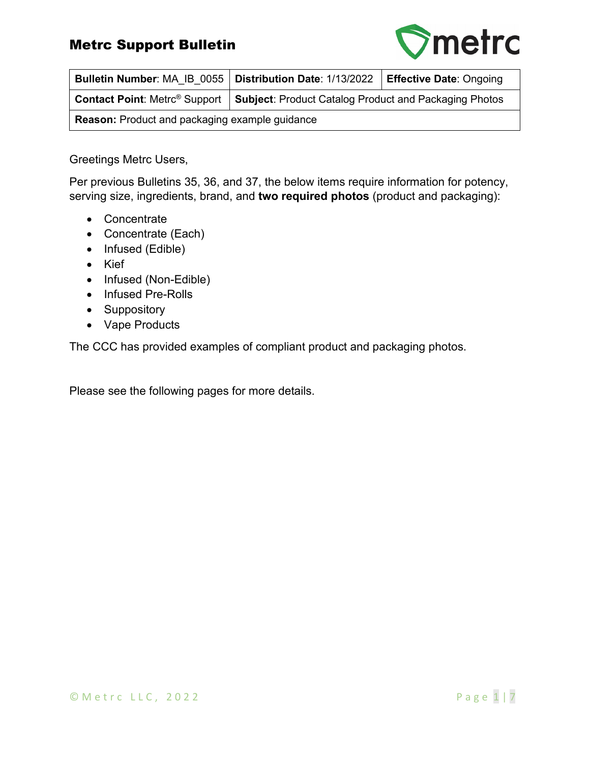

| Bulletin Number: MA IB 0055   Distribution Date: 1/13/2022 |                                                       | <b>Effective Date: Ongoing</b> |  |  |  |
|------------------------------------------------------------|-------------------------------------------------------|--------------------------------|--|--|--|
| <b>Contact Point: Metrc<sup>®</sup> Support</b>            | Subject: Product Catalog Product and Packaging Photos |                                |  |  |  |
| <b>Reason:</b> Product and packaging example guidance      |                                                       |                                |  |  |  |

Greetings Metrc Users,

Per previous Bulletins 35, 36, and 37, the below items require information for potency, serving size, ingredients, brand, and **two required photos** (product and packaging):

- Concentrate
- Concentrate (Each)
- Infused (Edible)
- Kief
- Infused (Non-Edible)
- Infused Pre-Rolls
- Suppository
- Vape Products

The CCC has provided examples of compliant product and packaging photos.

Please see the following pages for more details.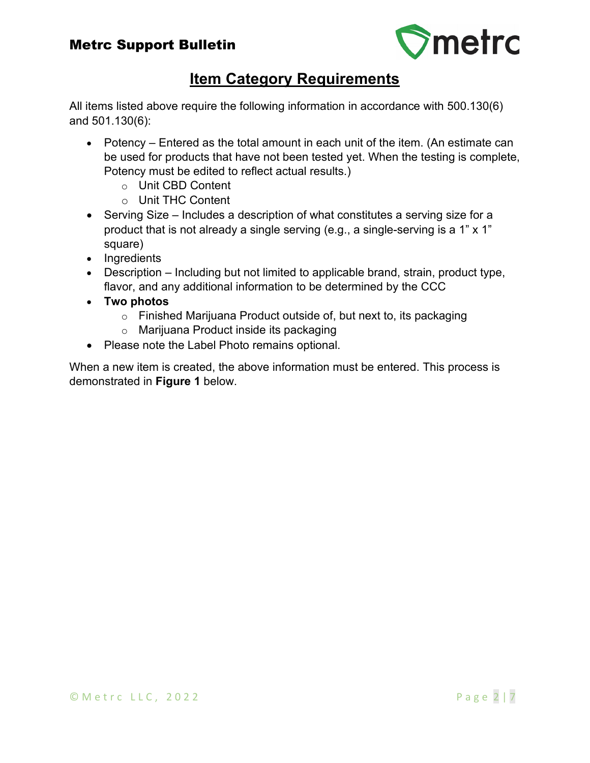

# **Item Category Requirements**

All items listed above require the following information in accordance with 500.130(6) and 501.130(6):

- Potency Entered as the total amount in each unit of the item. (An estimate can be used for products that have not been tested yet. When the testing is complete, Potency must be edited to reflect actual results.)
	- o Unit CBD Content
	- o Unit THC Content
- Serving Size Includes a description of what constitutes a serving size for a product that is not already a single serving (e.g., a single-serving is a 1" x 1" square)
- Ingredients
- Description Including but not limited to applicable brand, strain, product type, flavor, and any additional information to be determined by the CCC
- **Two photos**
	- o Finished Marijuana Product outside of, but next to, its packaging
	- o Marijuana Product inside its packaging
- Please note the Label Photo remains optional.

When a new item is created, the above information must be entered. This process is demonstrated in **Figure 1** below.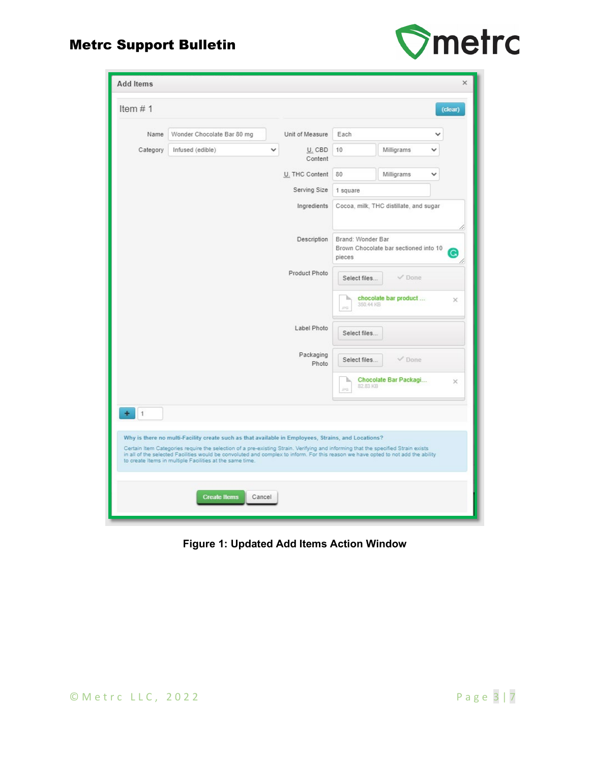



| <b>Add Items</b>                                      |                                                                                                                                                                                                                                                                                                                                                                                                                                         |                                         |                            |                                                                           |                       | ×        |
|-------------------------------------------------------|-----------------------------------------------------------------------------------------------------------------------------------------------------------------------------------------------------------------------------------------------------------------------------------------------------------------------------------------------------------------------------------------------------------------------------------------|-----------------------------------------|----------------------------|---------------------------------------------------------------------------|-----------------------|----------|
| Item $# 1$                                            |                                                                                                                                                                                                                                                                                                                                                                                                                                         |                                         |                            |                                                                           |                       | (clear)  |
| Name                                                  | Wonder Chocolate Bar 80 mg                                                                                                                                                                                                                                                                                                                                                                                                              |                                         | Unit of Measure            | Each                                                                      |                       |          |
| Category                                              | Infused (edible)                                                                                                                                                                                                                                                                                                                                                                                                                        | v                                       | U. CBD<br>Content          | 10                                                                        | Milligrams            |          |
|                                                       |                                                                                                                                                                                                                                                                                                                                                                                                                                         |                                         | U. THC Content             | 80                                                                        | Milligrams            |          |
|                                                       |                                                                                                                                                                                                                                                                                                                                                                                                                                         |                                         | Serving Size<br>1 square   |                                                                           |                       |          |
| Ingredients<br>Cocoa, milk, THC distillate, and sugar |                                                                                                                                                                                                                                                                                                                                                                                                                                         |                                         |                            |                                                                           |                       |          |
| Description                                           |                                                                                                                                                                                                                                                                                                                                                                                                                                         |                                         |                            | Brand: Wonder Bar<br>Brown Chocolate bar sectioned into 10<br>G<br>pieces |                       |          |
| Product Photo                                         |                                                                                                                                                                                                                                                                                                                                                                                                                                         |                                         |                            | $\nu$ Done<br>Select files                                                |                       |          |
|                                                       |                                                                                                                                                                                                                                                                                                                                                                                                                                         | chocolate bar product<br>×<br>350.44 KB |                            |                                                                           |                       |          |
| Label Photo                                           |                                                                                                                                                                                                                                                                                                                                                                                                                                         |                                         |                            | Select files                                                              |                       |          |
| Packaging<br>Photo                                    |                                                                                                                                                                                                                                                                                                                                                                                                                                         |                                         | $\nu$ Done<br>Select files |                                                                           |                       |          |
|                                                       |                                                                                                                                                                                                                                                                                                                                                                                                                                         |                                         |                            | 82.83 KB<br>times.                                                        | Chocolate Bar Packagi | $\times$ |
| ÷<br>1                                                |                                                                                                                                                                                                                                                                                                                                                                                                                                         |                                         |                            |                                                                           |                       |          |
|                                                       | Why is there no multi-Facility create such as that available in Employees, Strains, and Locations?<br>Certain Item Categories require the selection of a pre-existing Strain. Verifying and informing that the specified Strain exists<br>in all of the selected Facilities would be convoluted and complex to inform. For this reason we have opted to not add the ability<br>to create Items in multiple Facilities at the same time. |                                         |                            |                                                                           |                       |          |
|                                                       | <b>Create Items</b>                                                                                                                                                                                                                                                                                                                                                                                                                     | Cancel                                  |                            |                                                                           |                       |          |

**Figure 1: Updated Add Items Action Window**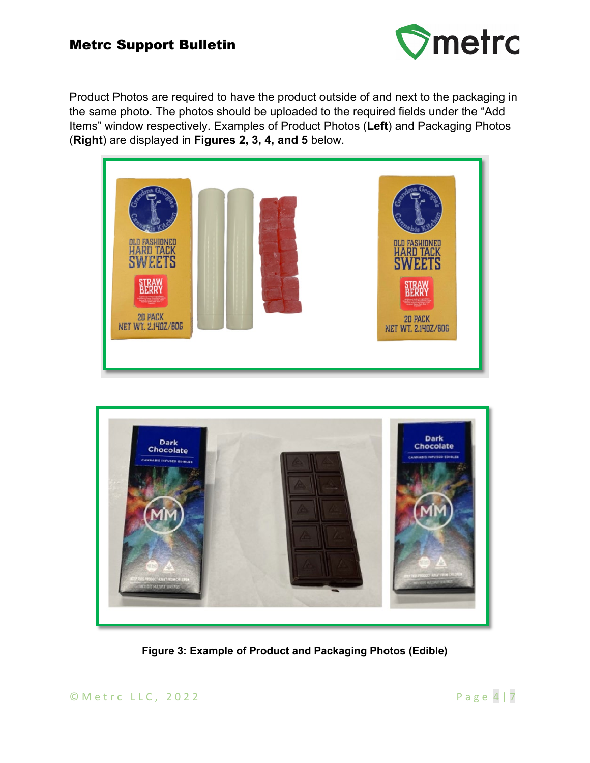

Product Photos are required to have the product outside of and next to the packaging in the same photo. The photos should be uploaded to the required fields under the "Add Items" window respectively. Examples of Product Photos (**Left**) and Packaging Photos (**Right**) are displayed in **Figures 2, 3, 4, and 5** below.





**Figure 3: Example of Product and Packaging Photos (Edible)**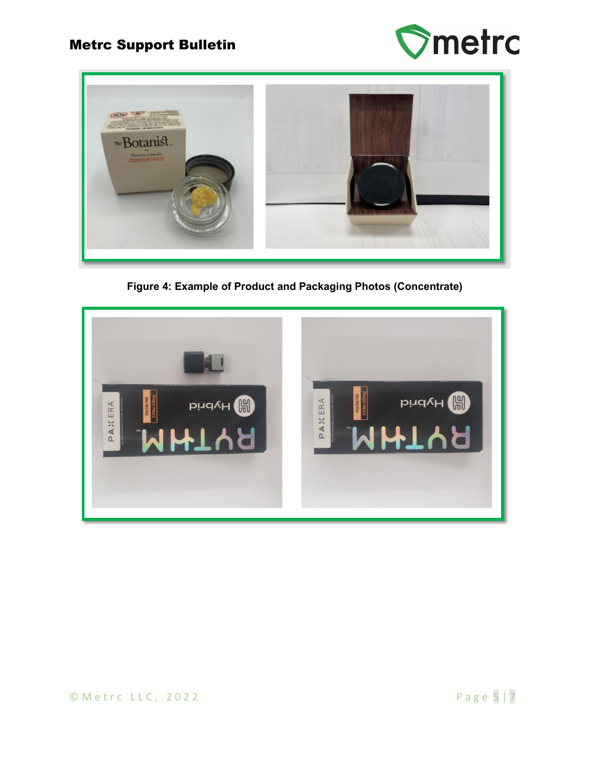



**Figure 4: Example of Product and Packaging Photos (Concentrate)** 

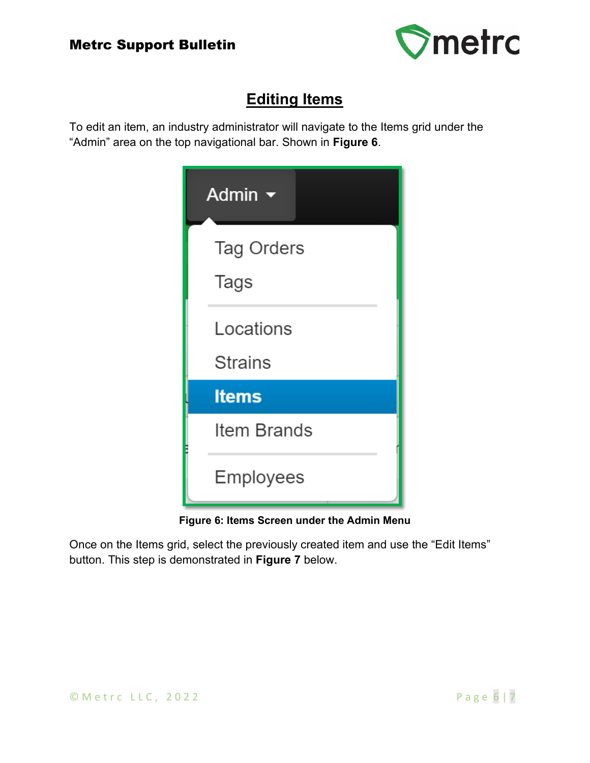

# **Editing Items**

To edit an item, an industry administrator will navigate to the Items grid under the "Admin" area on the top navigational bar. Shown in **Figure 6**.

| Admin $\blacktriangleright$ |  |  |
|-----------------------------|--|--|
| <b>Tag Orders</b><br>Tags   |  |  |
| Locations<br><b>Strains</b> |  |  |
| <b>Items</b>                |  |  |
| Item Brands                 |  |  |
| Employees                   |  |  |

**Figure 6: Items Screen under the Admin Menu**

Once on the Items grid, select the previously created item and use the "Edit Items" button. This step is demonstrated in **Figure 7** below.